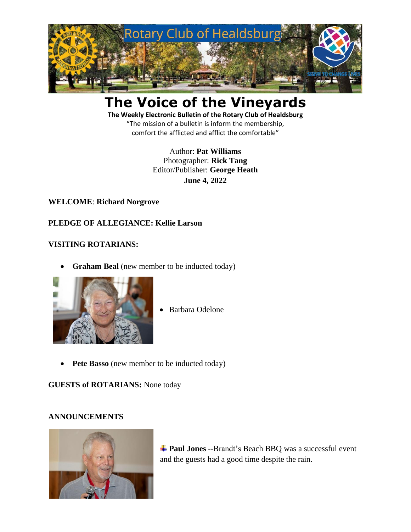

# **The Voice of the Vineyards**

**The Weekly Electronic Bulletin of the Rotary Club of Healdsburg** "The mission of a bulletin is inform the membership, comfort the afflicted and afflict the comfortable"

> Author: **Pat Williams** Photographer: **Rick Tang** Editor/Publisher: **George Heath June 4, 2022**

#### **WELCOME**: **Richard Norgrove**

## **PLEDGE OF ALLEGIANCE: Kellie Larson**

## **VISITING ROTARIANS:**

**Graham Beal** (new member to be inducted today)



- Barbara Odelone
- **Pete Basso** (new member to be inducted today)

#### **GUESTS of ROTARIANS:** None today

#### **ANNOUNCEMENTS**



 $\frac{1}{\sqrt{2}}$  **Paul Jones** --Brandt's Beach BBQ was a successful event and the guests had a good time despite the rain.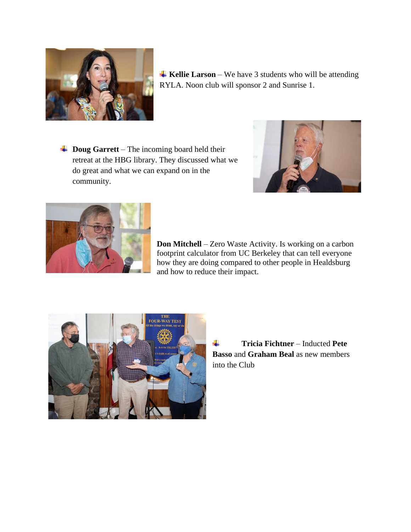

**Kellie Larson** – We have 3 students who will be attending RYLA. Noon club will sponsor 2 and Sunrise 1.

**↓ Doug Garrett** – The incoming board held their retreat at the HBG library. They discussed what we do great and what we can expand on in the community.





**Don Mitchell** – Zero Waste Activity. Is working on a carbon footprint calculator from UC Berkeley that can tell everyone how they are doing compared to other people in Healdsburg and how to reduce their impact.



÷ **Tricia Fichtner** – Inducted **Pete Basso** and **Graham Beal** as new members into the Club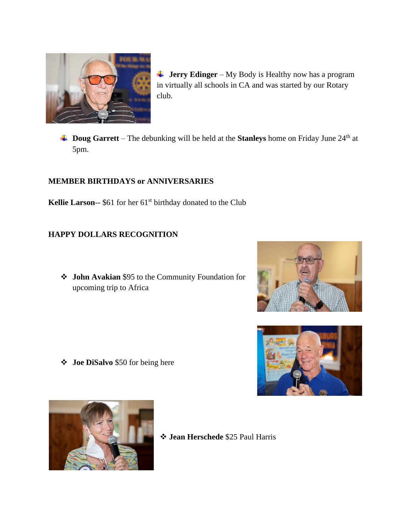

- **\frac{1}{\sqrt{1-\frac{1}{\sqrt{1-\frac{1}{\sqrt{1-\frac{1}{\sqrt{1-\frac{1}{\sqrt{1-\frac{1}{\sqrt{1-\frac{1}{\sqrt{1-\frac{1}{\sqrt{1-\frac{1}{\sqrt{1-\frac{1}{\sqrt{1-\frac{1}{\sqrt{1-\frac{1}{\sqrt{1-\frac{1}{\sqrt{1-\frac{1}{\sqrt{1-\frac{1}{\sqrt{1-\frac{1}{\sqrt{1-\frac{1}{\sqrt{1-\frac{1}{\sqrt{1-\frac{1}{\sqrt{1-\frac{1}{\sqrt{1-\frac{1}{\sqrt{1-\frac{1}{\sqrt{1-\frac{1}{\sqrt{1-\frac{1}{\sqrt{1-\frac{1** in virtually all schools in CA and was started by our Rotary club.
- **Doug Garrett** The debunking will be held at the **Stanleys** home on Friday June 24<sup>th</sup> at 5pm.

## **MEMBER BIRTHDAYS or ANNIVERSARIES**

Kellie Larson-- \$61 for her 61<sup>st</sup> birthday donated to the Club

## **HAPPY DOLLARS RECOGNITION**

❖ **John Avakian** \$95 to the Community Foundation for upcoming trip to Africa



❖ **Joe DiSalvo** \$50 for being here





❖ **Jean Herschede** \$25 Paul Harris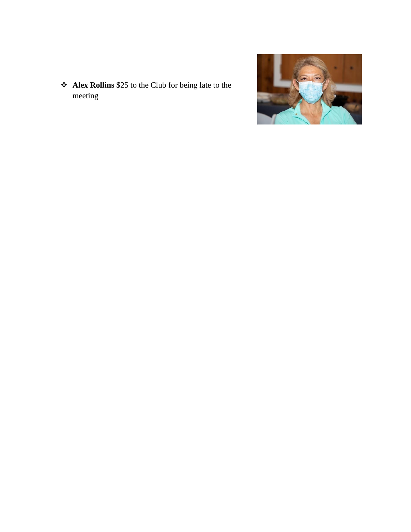❖ **Alex Rollins** \$25 to the Club for being late to the meeting